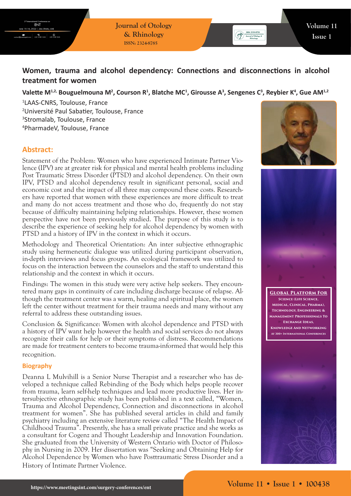# **Women, trauma and alcohol dependency: Connections and disconnections in alcohol treatment for women**

**Journal of Otology & Rhinology**

**ISSN: 2324-8785**

## Valette M<sup>1,2,</sup> Bouguelmouna M<sup>2</sup>, Courson R<sup>1</sup>, Blatche MC<sup>1</sup>, Girousse A<sup>3</sup>, Sengenes C<sup>3</sup>, Reybier K<sup>4</sup>, Gue AM<sup>1,2</sup>

 LAAS-CNRS, Toulouse, France Université Paul Sabatier, Toulouse, France Stromalab, Toulouse, France PharmadeV, Toulouse, France

## **Abstract:**

Statement of the Problem: Women who have experienced Intimate Partner Violence (IPV) are at greater risk for physical and mental health problems including Post Traumatic Stress Disorder (PTSD) and alcohol dependency. On their own IPV, PTSD and alcohol dependency result in significant personal, social and economic cost and the impact of all three may compound these costs. Researchers have reported that women with these experiences are more difficult to treat and many do not access treatment and those who do, frequently do not stay because of difficulty maintaining helping relationships. However, these women perspective have not been previously studied. The purpose of this study is to describe the experience of seeking help for alcohol dependency by women with PTSD and a history of IPV in the context in which it occurs.

Methodology and Theoretical Orientation: An inter subjective ethnographic study using hermeneutic dialogue was utilized during participant observation, in-depth interviews and focus groups. An ecological framework was utilized to focus on the interaction between the counselors and the staff to understand this relationship and the context in which it occurs.

Findings: The women in this study were very active help seekers. They encountered many gaps in continuity of care including discharge because of relapse. Although the treatment center was a warm, healing and spiritual place, the women left the center without treatment for their trauma needs and many without any referral to address these outstanding issues.

Conclusion & Significance: Women with alcohol dependence and PTSD with a history of IPV want help however the health and social services do not always recognize their calls for help or their symptoms of distress. Recommendations are made for treatment centers to become trauma-informed that would help this recognition.

#### **Biography**

Deanna L Mulvihill is a Senior Nurse Therapist and a researcher who has developed a technique called Rebinding of the Body which helps people recover from trauma, learn self-help techniques and lead more productive lives. Her intersubjective ethnographic study has been published in a text called, "Women, Trauma and Alcohol Dependency, Connection and disconnections in alcohol treatment for women". She has published several articles in child and family psychiatry including an extensive literature review called "The Health Impact of Childhood Trauma". Presently, she has a small private practice and she works as a consultant for Cogenz and Thought Leadership and Innovation Foundation. She graduated from the University of Western Ontario with Doctor of Philosophy in Nursing in 2009. Her dissertation was "Seeking and Obtaining Help for Alcohol Dependence by Women who have Posttraumatic Stress Disorder and a History of Intimate Partner Violence.



Solve: 2324-8765



**Global Platform For Science (Life Science, Medical, Clinical, Pharma), Technology, Engineering & Management Professionals To Exchange Ideas, Knowledge And Networking At 300+ International Conferences**